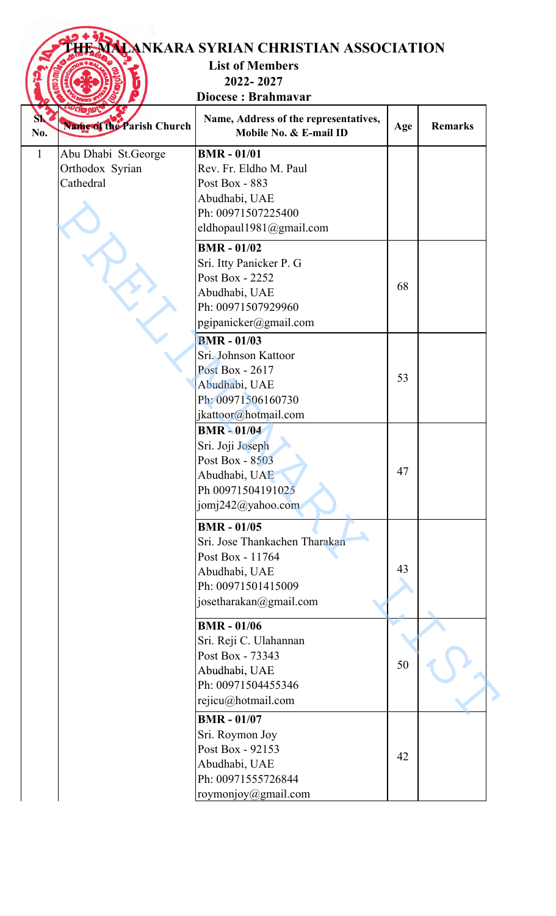## **THE MALANKARA SYRIAN CHRISTIAN ASSOCIATION**

**List of Members 2022- 2027**

**Diocese : Brahmavar**

| S\<br>No.    | <b><i>UCIO QUI</i></b><br><b>Name of the Parish Church</b> | Name, Address of the representatives,<br>Mobile No. & E-mail ID | Age | <b>Remarks</b> |
|--------------|------------------------------------------------------------|-----------------------------------------------------------------|-----|----------------|
| $\mathbf{1}$ | Abu Dhabi St.George                                        | <b>BMR - 01/01</b>                                              |     |                |
|              | Orthodox Syrian                                            | Rev. Fr. Eldho M. Paul                                          |     |                |
|              | Cathedral                                                  | Post Box - 883                                                  |     |                |
|              |                                                            | Abudhabi, UAE                                                   |     |                |
|              |                                                            | Ph: 00971507225400                                              |     |                |
|              |                                                            | eldhopaul1981@gmail.com                                         |     |                |
|              |                                                            | <b>BMR - 01/02</b>                                              |     |                |
|              |                                                            | Sri. Itty Panicker P. G                                         |     |                |
|              |                                                            | Post Box - 2252                                                 |     |                |
|              |                                                            | Abudhabi, UAE                                                   | 68  |                |
|              |                                                            | Ph: 00971507929960                                              |     |                |
|              |                                                            | pgipanicker@gmail.com                                           |     |                |
|              |                                                            |                                                                 |     |                |
|              |                                                            | <b>BMR - 01/03</b>                                              |     |                |
|              |                                                            | Sri. Johnson Kattoor                                            |     |                |
|              |                                                            | <b>Post Box - 2617</b>                                          | 53  |                |
|              |                                                            | Abudhabi, UAE                                                   |     |                |
|              |                                                            | Ph: 00971506160730                                              |     |                |
|              |                                                            | jkattoor@hotmail.com                                            |     |                |
|              |                                                            | <b>BMR-01/04</b>                                                |     |                |
|              |                                                            | Sri. Joji Joseph                                                |     |                |
|              |                                                            | Post Box - 8503                                                 |     |                |
|              |                                                            | Abudhabi, UAE                                                   | 47  |                |
|              |                                                            | Ph 00971504191025                                               |     |                |
|              |                                                            | jomj242@yahoo.com                                               |     |                |
|              |                                                            | <b>BMR - 01/05</b>                                              |     |                |
|              |                                                            | Sri. Jose Thankachen Tharakan                                   |     |                |
|              |                                                            | Post Box - 11764                                                |     |                |
|              |                                                            | Abudhabi, UAE                                                   | 43  |                |
|              |                                                            | Ph: 00971501415009                                              |     |                |
|              |                                                            | josetharakan@gmail.com                                          |     |                |
|              |                                                            |                                                                 |     |                |
|              |                                                            | <b>BMR - 01/06</b>                                              |     |                |
|              |                                                            | Sri. Reji C. Ulahannan                                          |     |                |
|              |                                                            | Post Box - 73343                                                | 50  |                |
|              |                                                            | Abudhabi, UAE                                                   |     |                |
|              |                                                            | Ph: 00971504455346                                              |     |                |
|              |                                                            | rejicu@hotmail.com                                              |     |                |
|              |                                                            | <b>BMR - 01/07</b>                                              |     |                |
|              |                                                            | Sri. Roymon Joy                                                 |     |                |
|              |                                                            | Post Box - 92153                                                |     |                |
|              |                                                            | Abudhabi, UAE                                                   | 42  |                |
|              |                                                            | Ph: 00971555726844                                              |     |                |
|              |                                                            | roymonjoy@gmail.com                                             |     |                |
|              |                                                            |                                                                 |     |                |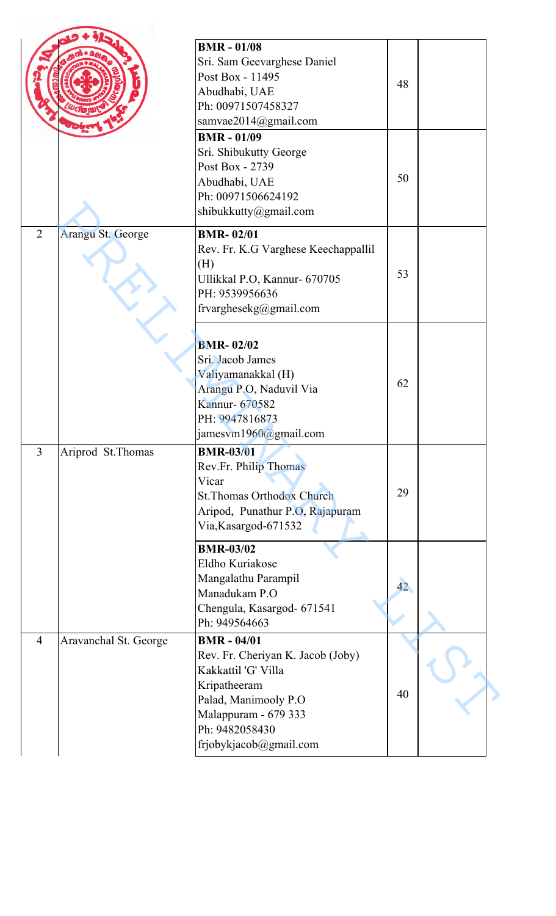|                |                       | <b>BMR - 01/08</b><br>Sri. Sam Geevarghese Daniel<br>Post Box - 11495<br>Abudhabi, UAE<br>Ph: 00971507458327<br>samvae2014@gmail.com<br><b>BMR - 01/09</b><br>Sri. Shibukutty George<br>Post Box - 2739<br>Abudhabi, UAE<br>Ph: 00971506624192<br>shibukkutty@gmail.com | 48<br>50        |  |
|----------------|-----------------------|-------------------------------------------------------------------------------------------------------------------------------------------------------------------------------------------------------------------------------------------------------------------------|-----------------|--|
| $\overline{2}$ | Arangu St. George     | <b>BMR-02/01</b><br>Rev. Fr. K.G Varghese Keechappallil<br>(H)<br>Ullikkal P.O, Kannur- 670705<br>PH: 9539956636<br>frvarghesekg@gmail.com                                                                                                                              | 53              |  |
|                |                       | <b>BMR-02/02</b><br>Sri. Jacob James<br>Valiyamanakkal (H)<br>Arangu P.O, Naduvil Via<br>Kannur- 670582<br>PH: 9947816873<br>jamesvm1960@gmail.com                                                                                                                      | 62              |  |
| $\overline{3}$ | Ariprod St. Thomas    | <b>BMR-03/01</b><br>Rev.Fr. Philip Thomas<br>Vicar<br><b>St. Thomas Orthodox Church</b><br>Aripod, Punathur P.O, Rajapuram<br>Via,Kasargod-671532                                                                                                                       | 29              |  |
|                |                       | <b>BMR-03/02</b><br>Eldho Kuriakose<br>Mangalathu Parampil<br>Manadukam P.O<br>Chengula, Kasargod- 671541<br>Ph: 949564663                                                                                                                                              | 42 <sup>°</sup> |  |
| $\overline{4}$ | Aravanchal St. George | <b>BMR - 04/01</b><br>Rev. Fr. Cheriyan K. Jacob (Joby)<br>Kakkattil 'G' Villa<br>Kripatheeram<br>Palad, Manimooly P.O<br>Malappuram - 679 333<br>Ph: 9482058430<br>frjobykjacob@gmail.com                                                                              | 40              |  |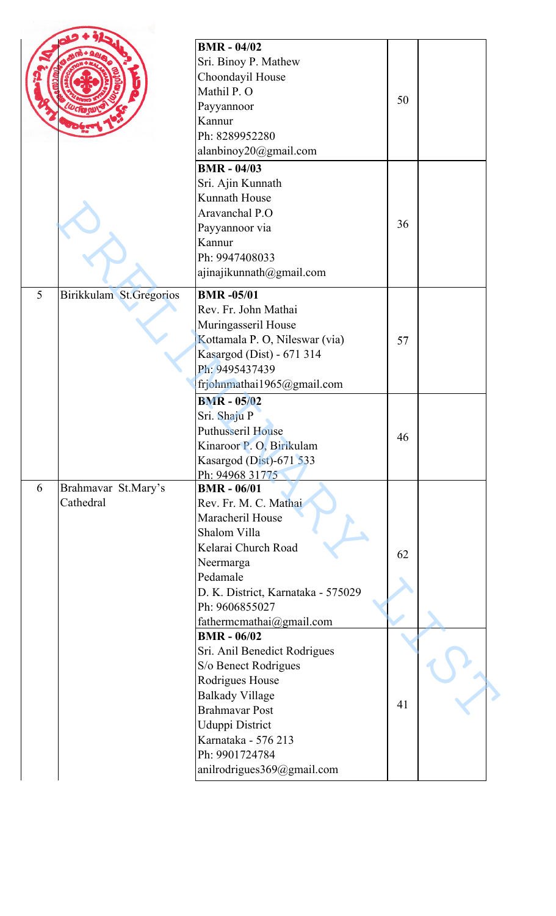|   |                         | <b>BMR - 04/02</b>                             |    |  |
|---|-------------------------|------------------------------------------------|----|--|
|   |                         | Sri. Binoy P. Mathew                           |    |  |
|   |                         | Choondayil House                               |    |  |
|   |                         | Mathil P. O                                    |    |  |
|   |                         |                                                | 50 |  |
|   |                         | Payyannoor<br>Kannur                           |    |  |
|   |                         | Ph: 8289952280                                 |    |  |
|   |                         |                                                |    |  |
|   |                         | alanbinoy20@gmail.com                          |    |  |
|   |                         | <b>BMR - 04/03</b>                             |    |  |
|   |                         | Sri. Ajin Kunnath                              |    |  |
|   |                         | Kunnath House                                  |    |  |
|   |                         | Aravanchal P.O                                 |    |  |
|   |                         | Payyannoor via                                 | 36 |  |
|   |                         | Kannur                                         |    |  |
|   |                         | Ph: 9947408033                                 |    |  |
|   |                         | ajinajikunnath@gmail.com                       |    |  |
| 5 | Birikkulam St.Gregorios | <b>BMR-05/01</b>                               |    |  |
|   |                         | Rev. Fr. John Mathai                           |    |  |
|   |                         | Muringasseril House                            |    |  |
|   |                         | Kottamala P. O, Nileswar (via)                 | 57 |  |
|   |                         | Kasargod (Dist) - 671 314                      |    |  |
|   |                         | Ph: 9495437439                                 |    |  |
|   |                         | frjohnmathai1965@gmail.com                     |    |  |
|   |                         | <b>BMR - 05/02</b>                             |    |  |
|   |                         |                                                |    |  |
|   |                         | Sri. Shaju P<br><b>Puthusseril House</b>       |    |  |
|   |                         | Kinaroor P. O, Birikulam                       | 46 |  |
|   |                         |                                                |    |  |
|   |                         | Kasargod (Dist)-671 533                        |    |  |
| 6 | Brahmavar St.Mary's     | Ph: 94968 31775<br><b>BMR - 06/01</b>          |    |  |
|   | Cathedral               | Rev. Fr. M. C. Mathai                          |    |  |
|   |                         | Maracheril House                               |    |  |
|   |                         | Shalom Villa                                   |    |  |
|   |                         | Kelarai Church Road                            |    |  |
|   |                         |                                                | 62 |  |
|   |                         | Neermarga<br>Pedamale                          |    |  |
|   |                         |                                                |    |  |
|   |                         | D. K. District, Karnataka - 575029             |    |  |
|   |                         | Ph: 9606855027                                 |    |  |
|   |                         | fathermcmathai@gmail.com<br><b>BMR - 06/02</b> |    |  |
|   |                         |                                                |    |  |
|   |                         | Sri. Anil Benedict Rodrigues                   |    |  |
|   |                         | S/o Benect Rodrigues                           |    |  |
|   |                         | Rodrigues House                                |    |  |
|   |                         | <b>Balkady Village</b>                         | 41 |  |
|   |                         | <b>Brahmavar Post</b>                          |    |  |
|   |                         | Uduppi District                                |    |  |
|   |                         | Karnataka - 576 213                            |    |  |
|   |                         |                                                |    |  |
|   |                         | Ph: 9901724784<br>anilrodrigues369@gmail.com   |    |  |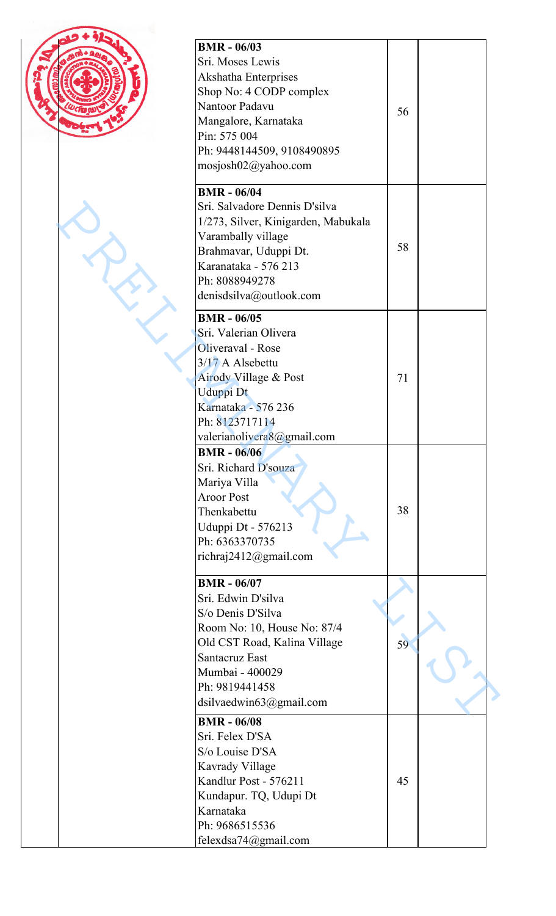| <b>BMR - 06/03</b>                      |    |  |
|-----------------------------------------|----|--|
| Sri. Moses Lewis                        |    |  |
| Akshatha Enterprises                    |    |  |
| Shop No: 4 CODP complex                 |    |  |
| Nantoor Padavu                          |    |  |
| Mangalore, Karnataka                    | 56 |  |
|                                         |    |  |
| Pin: 575 004                            |    |  |
| Ph: 9448144509, 9108490895              |    |  |
| mosjosh02@yahoo.com                     |    |  |
| <b>BMR - 06/04</b>                      |    |  |
| Sri. Salvadore Dennis D'silva           |    |  |
| 1/273, Silver, Kinigarden, Mabukala     |    |  |
| Varambally village                      |    |  |
| Brahmavar, Uduppi Dt.                   | 58 |  |
| Karanataka - 576 213                    |    |  |
| Ph: 8088949278                          |    |  |
|                                         |    |  |
| denisdsilva@outlook.com                 |    |  |
| <b>BMR - 06/05</b>                      |    |  |
| Sri. Valerian Olivera                   |    |  |
| Oliveraval - Rose                       |    |  |
| 3/17 A Alsebettu                        |    |  |
| Airody Village & Post                   | 71 |  |
| Uduppi Dt                               |    |  |
| Karnataka - 576 236                     |    |  |
| Ph: 8123717114                          |    |  |
| valerianolivera8@gmail.com              |    |  |
| <b>BMR - 06/06</b>                      |    |  |
| Sri. Richard D'souza                    |    |  |
| Mariya Villa                            |    |  |
| <b>Aroor Post</b>                       |    |  |
| Thenkabettu                             | 38 |  |
|                                         |    |  |
| Uduppi Dt - 576213                      |    |  |
| Ph: 6363370735<br>richraj2412@gmail.com |    |  |
|                                         |    |  |
| <b>BMR - 06/07</b>                      |    |  |
| Sri. Edwin D'silva                      |    |  |
| S/o Denis D'Silva                       |    |  |
| Room No: 10, House No: 87/4             |    |  |
| Old CST Road, Kalina Village            | 59 |  |
| <b>Santacruz East</b>                   |    |  |
| Mumbai - 400029                         |    |  |
| Ph: 9819441458                          |    |  |
| dsilvaedwin63@gmail.com                 |    |  |
| <b>BMR - 06/08</b>                      |    |  |
| Sri. Felex D'SA                         |    |  |
| S/o Louise D'SA                         |    |  |
| Kavrady Village                         |    |  |
| Kandlur Post - 576211                   | 45 |  |
| Kundapur. TQ, Udupi Dt                  |    |  |
| Karnataka                               |    |  |
| Ph: 9686515536                          |    |  |
|                                         |    |  |
| felexdsa74@gmail.com                    |    |  |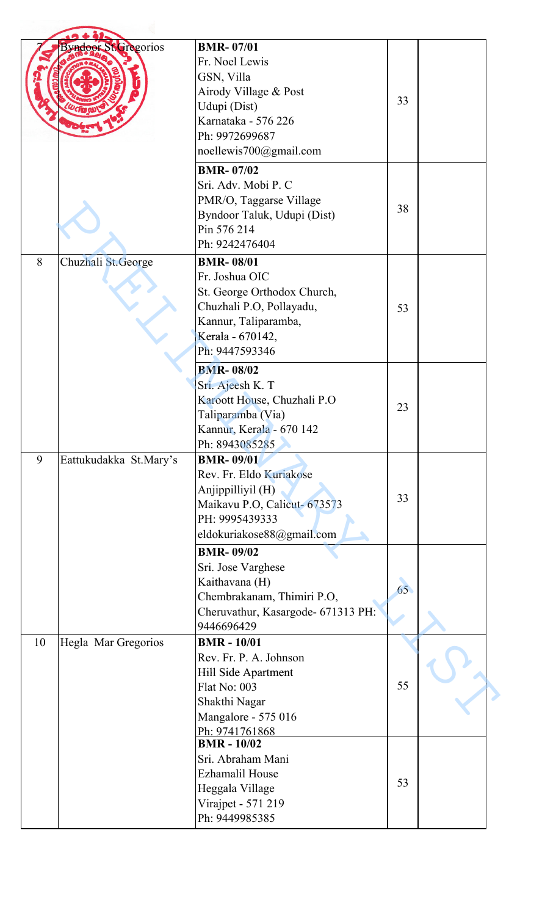|    | <b>Byndoor St. Gregorios</b> | <b>BMR-07/01</b>                   |    |  |
|----|------------------------------|------------------------------------|----|--|
|    |                              | Fr. Noel Lewis                     |    |  |
|    |                              | GSN, Villa                         |    |  |
|    |                              | Airody Village & Post              |    |  |
|    |                              | Udupi (Dist)                       | 33 |  |
|    |                              | Karnataka - 576 226                |    |  |
|    |                              |                                    |    |  |
|    |                              | Ph: 9972699687                     |    |  |
|    |                              | noellewis700@gmail.com             |    |  |
|    |                              | <b>BMR-07/02</b>                   |    |  |
|    |                              | Sri. Adv. Mobi P. C                |    |  |
|    |                              | PMR/O, Taggarse Village            | 38 |  |
|    |                              | Byndoor Taluk, Udupi (Dist)        |    |  |
|    |                              | Pin 576 214                        |    |  |
|    |                              | Ph: 9242476404                     |    |  |
| 8  | Chuzhali St.George           | <b>BMR-08/01</b>                   |    |  |
|    |                              | Fr. Joshua OIC                     |    |  |
|    |                              | St. George Orthodox Church,        |    |  |
|    |                              | Chuzhali P.O, Pollayadu,           | 53 |  |
|    |                              | Kannur, Taliparamba,               |    |  |
|    |                              | Kerala - 670142,                   |    |  |
|    |                              | Ph: 9447593346                     |    |  |
|    |                              |                                    |    |  |
|    |                              | <b>BMR-08/02</b>                   |    |  |
|    |                              | Sri. Ajeesh K. T                   |    |  |
|    |                              | Karoott House, Chuzhali P.O        | 23 |  |
|    |                              | Taliparamba (Via)                  |    |  |
|    |                              | Kannur, Kerala - 670 142           |    |  |
|    |                              | Ph: 8943085285                     |    |  |
| 9  | Eattukudakka St.Mary's       | <b>BMR-09/01</b>                   |    |  |
|    |                              | Rev. Fr. Eldo Kuriakose            |    |  |
|    |                              | Anjippilliyil (H)                  | 33 |  |
|    |                              | Maikavu P.O, Calicut- 673573       |    |  |
|    |                              | PH: 9995439333                     |    |  |
|    |                              | eldokuriakose88@gmail.com          |    |  |
|    |                              | <b>BMR-09/02</b>                   |    |  |
|    |                              | Sri. Jose Varghese                 |    |  |
|    |                              | Kaithavana (H)                     | 65 |  |
|    |                              | Chembrakanam, Thimiri P.O,         |    |  |
|    |                              | Cheruvathur, Kasargode- 671313 PH: |    |  |
|    |                              | 9446696429                         |    |  |
| 10 | Hegla Mar Gregorios          | <b>BMR-10/01</b>                   |    |  |
|    |                              | Rev. Fr. P. A. Johnson             |    |  |
|    |                              | Hill Side Apartment                |    |  |
|    |                              | Flat No: 003                       | 55 |  |
|    |                              | Shakthi Nagar                      |    |  |
|    |                              | Mangalore - 575 016                |    |  |
|    |                              | Ph: 9741761868                     |    |  |
|    |                              | <b>BMR-10/02</b>                   |    |  |
|    |                              | Sri. Abraham Mani                  |    |  |
|    |                              | <b>Ezhamalil House</b>             |    |  |
|    |                              | Heggala Village                    | 53 |  |
|    |                              | Virajpet - 571 219                 |    |  |
|    |                              | Ph: 9449985385                     |    |  |
|    |                              |                                    |    |  |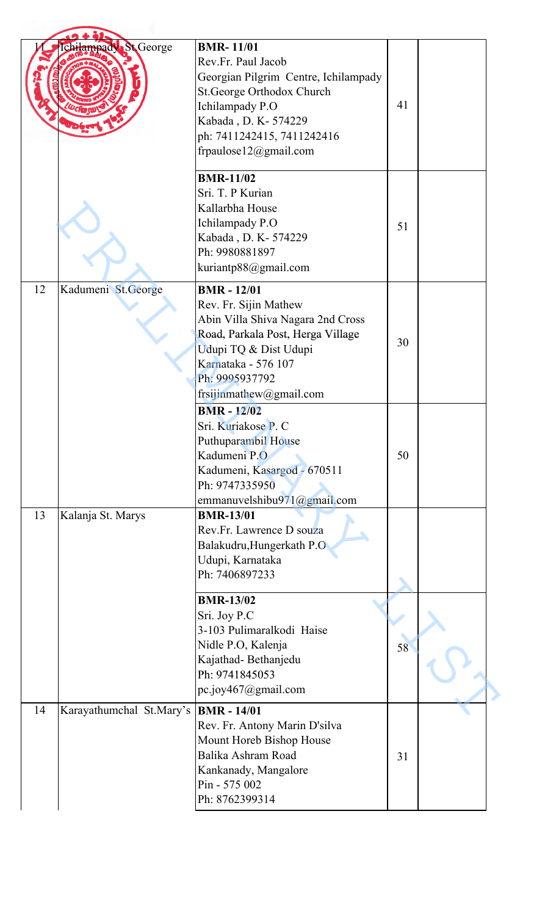|    | <b>St</b> George<br>chilampady | <b>BMR-11/01</b><br>Rev.Fr. Paul Jacob<br>Georgian Pilgrim Centre, Ichilampady<br>St.George Orthodox Church<br>Ichilampady P.O<br>Kabada, D. K - 574229<br>ph: 7411242415, 7411242416<br>frpaulose12@gmail.com     | 41 |  |
|----|--------------------------------|--------------------------------------------------------------------------------------------------------------------------------------------------------------------------------------------------------------------|----|--|
|    |                                | <b>BMR-11/02</b><br>Sri. T. P Kurian<br>Kallarbha House<br>Ichilampady P.O<br>Kabada, D. K - 574229<br>Ph: 9980881897<br>kuriantp88@gmail.com                                                                      | 51 |  |
| 12 | Kadumeni St.George             | <b>BMR</b> - 12/01<br>Rev. Fr. Sijin Mathew<br>Abin Villa Shiva Nagara 2nd Cross<br>Road, Parkala Post, Herga Village<br>Udupi TQ & Dist Udupi<br>Karnataka - 576 107<br>Ph: 9995937792<br>frsijinmathew@gmail.com | 30 |  |
|    |                                | <b>BMR-12/02</b><br>Sri. Kuriakose P. C<br>Puthuparambil House<br>Kadumeni P.O<br>Kadumeni, Kasargod - 670511<br>Ph: 9747335950<br>emmanuvelshibu971@gmail.com                                                     | 50 |  |
| 13 | Kalanja St. Marys              | <b>BMR-13/01</b><br>Rev.Fr. Lawrence D souza<br>Balakudru, Hungerkath P.O<br>Udupi, Karnataka<br>Ph: 7406897233                                                                                                    |    |  |
|    |                                | <b>BMR-13/02</b><br>Sri. Joy P.C<br>3-103 Pulimaralkodi Haise<br>Nidle P.O, Kalenja<br>Kajathad-Bethanjedu<br>Ph: 9741845053<br>pc.joy467@gmail.com                                                                | 58 |  |
| 14 | Karayathumchal St.Mary's       | <b>BMR</b> - 14/01<br>Rev. Fr. Antony Marin D'silva<br>Mount Horeb Bishop House<br>Balika Ashram Road<br>Kankanady, Mangalore<br>Pin - 575 002<br>Ph: 8762399314                                                   | 31 |  |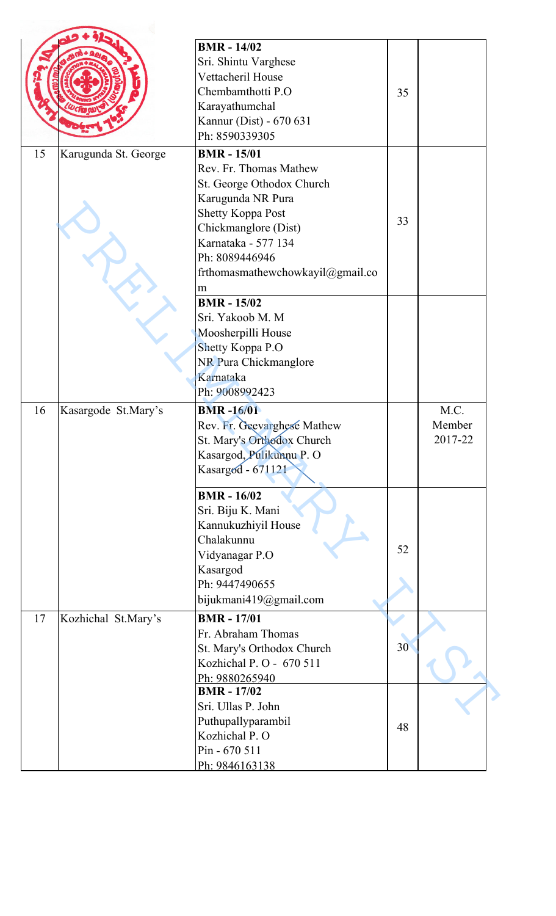|    |                      | <b>BMR</b> - 14/02               |    |         |
|----|----------------------|----------------------------------|----|---------|
|    |                      |                                  |    |         |
|    |                      | Sri. Shintu Varghese             |    |         |
|    |                      | Vettacheril House                |    |         |
|    |                      | Chembamthotti P.O                | 35 |         |
|    |                      | Karayathumchal                   |    |         |
|    |                      | Kannur (Dist) - 670 631          |    |         |
|    |                      | Ph: 8590339305                   |    |         |
| 15 | Karugunda St. George | <b>BMR - 15/01</b>               |    |         |
|    |                      | Rev. Fr. Thomas Mathew           |    |         |
|    |                      | St. George Othodox Church        |    |         |
|    |                      | Karugunda NR Pura                |    |         |
|    |                      | <b>Shetty Koppa Post</b>         |    |         |
|    |                      | Chickmanglore (Dist)             | 33 |         |
|    |                      | Karnataka - 577 134              |    |         |
|    |                      | Ph: 8089446946                   |    |         |
|    |                      | frthomasmathewchowkayil@gmail.co |    |         |
|    |                      |                                  |    |         |
|    |                      | m                                |    |         |
|    |                      | <b>BMR</b> - 15/02               |    |         |
|    |                      | Sri. Yakoob M. M                 |    |         |
|    |                      | Moosherpilli House               |    |         |
|    |                      | Shetty Koppa P.O                 |    |         |
|    |                      | NR Pura Chickmanglore            |    |         |
|    |                      | Karnataka                        |    |         |
|    |                      | Ph: 9008992423                   |    |         |
| 16 | Kasargode St.Mary's  | <b>BMR-16/01</b>                 |    | M.C.    |
|    |                      | Rev. Fr. Geevarghese Mathew      |    | Member  |
|    |                      | St. Mary's Orthodox Church       |    | 2017-22 |
|    |                      | Kasargod, Pulikunnu P. O         |    |         |
|    |                      | Kasargod - 671121                |    |         |
|    |                      |                                  |    |         |
|    |                      | <b>BMR</b> - 16/02               |    |         |
|    |                      | Sri. Biju K. Mani                |    |         |
|    |                      | Kannukuzhiyil House              |    |         |
|    |                      | Chalakunnu                       |    |         |
|    |                      | Vidyanagar P.O                   | 52 |         |
|    |                      | Kasargod                         |    |         |
|    |                      | Ph: 9447490655                   |    |         |
|    |                      | bijukmani419@gmail.com           |    |         |
|    |                      |                                  |    |         |
| 17 | Kozhichal St.Mary's  | <b>BMR-17/01</b>                 |    |         |
|    |                      | Fr. Abraham Thomas               |    |         |
|    |                      | St. Mary's Orthodox Church       | 30 |         |
|    |                      | Kozhichal P. O - 670 511         |    |         |
|    |                      | Ph: 9880265940                   |    |         |
|    |                      | <b>BMR - 17/02</b>               |    |         |
|    |                      | Sri. Ullas P. John               |    |         |
|    |                      | Puthupallyparambil               | 48 |         |
|    |                      | Kozhichal P. O                   |    |         |
|    |                      | Pin - 670 511                    |    |         |
|    |                      | Ph: 9846163138                   |    |         |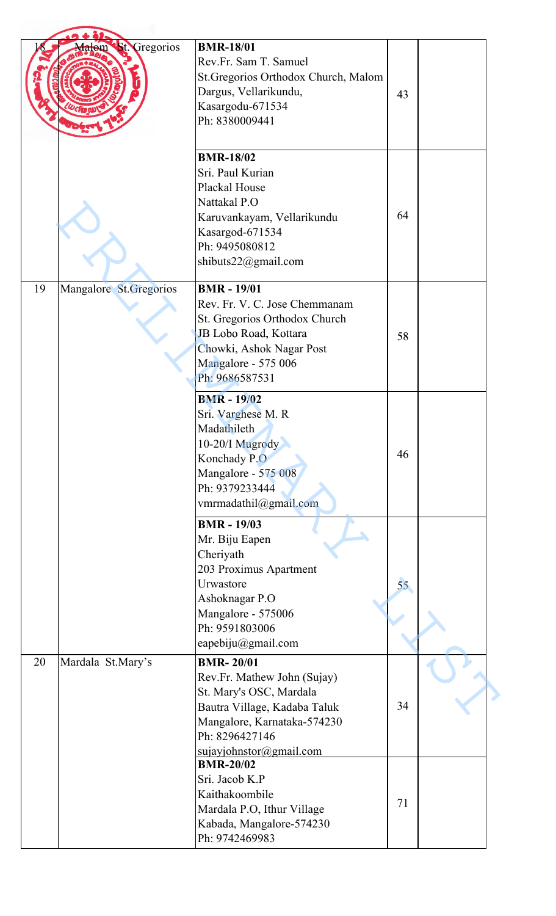|    | Gregorios<br><b>Bt.</b><br>alom | <b>BMR-18/01</b><br>Rev.Fr. Sam T. Samuel<br>St. Gregorios Orthodox Church, Malom<br>Dargus, Vellarikundu,<br>Kasargodu-671534<br>Ph: 8380009441                                       | 43 |  |
|----|---------------------------------|----------------------------------------------------------------------------------------------------------------------------------------------------------------------------------------|----|--|
|    |                                 | <b>BMR-18/02</b><br>Sri. Paul Kurian<br>Plackal House<br>Nattakal P.O<br>Karuvankayam, Vellarikundu<br>Kasargod-671534<br>Ph: 9495080812<br>shibuts22@gmail.com                        | 64 |  |
| 19 | Mangalore St. Gregorios         | <b>BMR</b> - 19/01<br>Rev. Fr. V. C. Jose Chemmanam<br>St. Gregorios Orthodox Church<br>JB Lobo Road, Kottara<br>Chowki, Ashok Nagar Post<br>Mangalore - 575 006<br>Ph: 9686587531     | 58 |  |
|    |                                 | <b>BMR-19/02</b><br>Sri. Varghese M. R<br>Madathileth<br>10-20/I Mugrody<br>Konchady P.O<br>Mangalore - 575 008<br>Ph: 9379233444<br>vmrmadathil@gmail.com                             | 46 |  |
|    |                                 | <b>BMR</b> - 19/03<br>Mr. Biju Eapen<br>Cheriyath<br>203 Proximus Apartment<br>Urwastore<br>Ashoknagar P.O<br>Mangalore - 575006<br>Ph: 9591803006<br>eapebiju $@g$ mail.com           | 55 |  |
| 20 | Mardala St.Mary's               | <b>BMR-20/01</b><br>Rev.Fr. Mathew John (Sujay)<br>St. Mary's OSC, Mardala<br>Bautra Village, Kadaba Taluk<br>Mangalore, Karnataka-574230<br>Ph: 8296427146<br>sujayiohnstor@gmail.com | 34 |  |
|    |                                 | <b>BMR-20/02</b><br>Sri. Jacob K.P<br>Kaithakoombile<br>Mardala P.O, Ithur Village<br>Kabada, Mangalore-574230<br>Ph: 9742469983                                                       | 71 |  |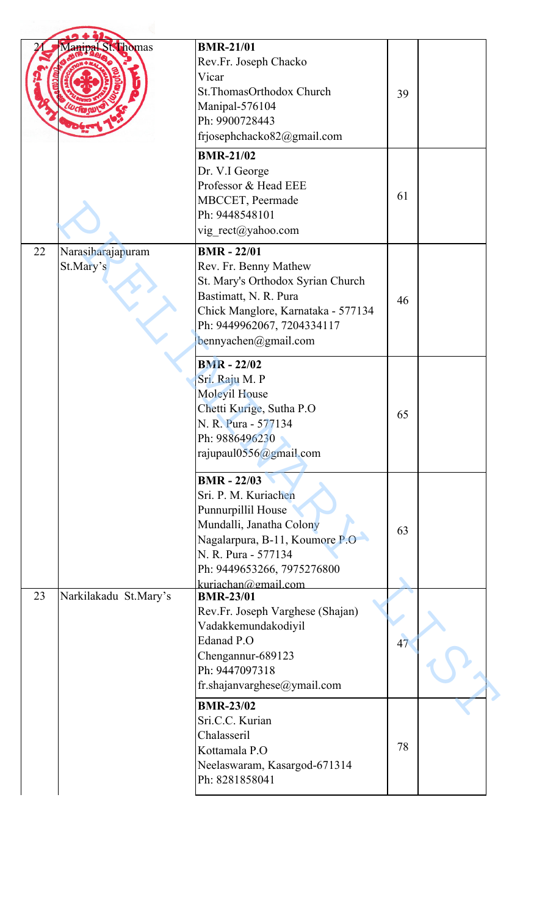|    | Manipal St. Thomas             | <b>BMR-21/01</b><br>Rev.Fr. Joseph Chacko<br>Vicar<br>St.ThomasOrthodox Church<br>Manipal-576104<br>Ph: 9900728443<br>frjosephchacko82@gmail.com                                                           | 39 |  |
|----|--------------------------------|------------------------------------------------------------------------------------------------------------------------------------------------------------------------------------------------------------|----|--|
|    |                                | <b>BMR-21/02</b><br>Dr. V.I George<br>Professor & Head EEE<br>MBCCET, Peermade<br>Ph: 9448548101<br>vig rect@yahoo.com                                                                                     | 61 |  |
| 22 | Narasiharajapuram<br>St.Mary's | <b>BMR-22/01</b><br>Rev. Fr. Benny Mathew<br>St. Mary's Orthodox Syrian Church<br>Bastimatt, N. R. Pura<br>Chick Manglore, Karnataka - 577134<br>Ph: 9449962067, 7204334117<br>bennyachen@gmail.com        | 46 |  |
|    |                                | <b>BMR</b> - 22/02<br>Sri. Raju M. P<br><b>Moleyil House</b><br>Chetti Kurige, Sutha P.O<br>N. R. Pura - 577134<br>Ph: 9886496230<br>rajupaul0556@gmail.com                                                | 65 |  |
|    |                                | <b>BMR - 22/03</b><br>Sri. P. M. Kuriachen<br>Punnurpillil House<br>Mundalli, Janatha Colony<br>Nagalarpura, B-11, Koumore P.O<br>N. R. Pura - 577134<br>Ph: 9449653266, 7975276800<br>kuriachan@gmail.com | 63 |  |
| 23 | Narkilakadu St.Mary's          | <b>BMR-23/01</b><br>Rev.Fr. Joseph Varghese (Shajan)<br>Vadakkemundakodiyil<br>Edanad P.O<br>Chengannur-689123<br>Ph: 9447097318<br>fr.shajanvarghese@ymail.com                                            | 47 |  |
|    |                                | <b>BMR-23/02</b><br>Sri.C.C. Kurian<br>Chalasseril<br>Kottamala P.O<br>Neelaswaram, Kasargod-671314<br>Ph: 8281858041                                                                                      | 78 |  |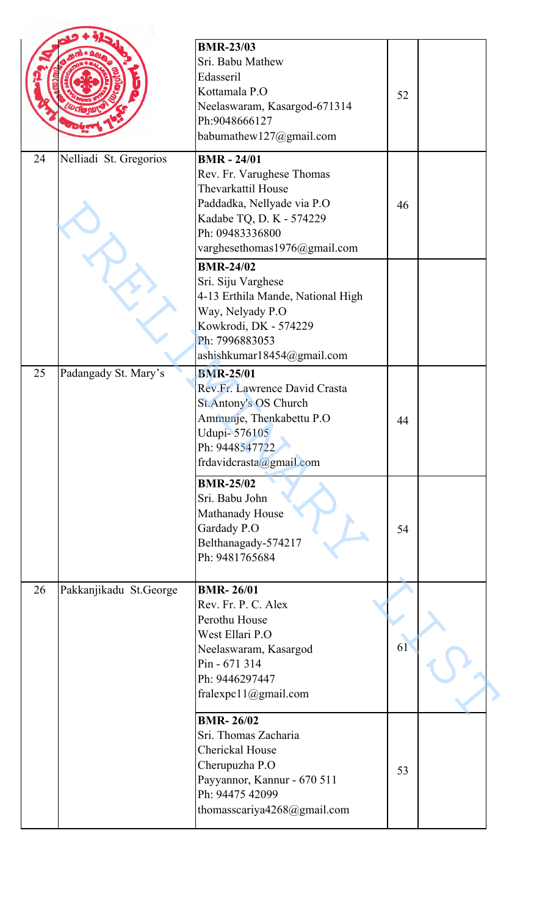|    |                        | <b>BMR-23/03</b><br>Sri. Babu Mathew<br>Edasseril<br>Kottamala P.O<br>Neelaswaram, Kasargod-671314<br>Ph:9048666127<br>babumathew127@gmail.com                                     | 52 |  |
|----|------------------------|------------------------------------------------------------------------------------------------------------------------------------------------------------------------------------|----|--|
| 24 | Nelliadi St. Gregorios | <b>BMR</b> - 24/01<br>Rev. Fr. Varughese Thomas<br>Thevarkattil House<br>Paddadka, Nellyade via P.O<br>Kadabe TQ, D. K - 574229<br>Ph: 09483336800<br>varghesethomas1976@gmail.com | 46 |  |
|    |                        | <b>BMR-24/02</b><br>Sri. Siju Varghese<br>4-13 Erthila Mande, National High<br>Way, Nelyady P.O<br>Kowkrodi, DK - 574229<br>Ph: 7996883053<br>ashishkumar18454@gmail.com           |    |  |
| 25 | Padangady St. Mary's   | <b>BMR-25/01</b><br>Rev.Fr. Lawrence David Crasta<br><b>St.Antony's OS Church</b><br>Ammunje, Thenkabettu P.O<br>Udupi-576105<br>Ph: 9448547722<br>frdavidcrasta@gmail.com         | 44 |  |
|    |                        | <b>BMR-25/02</b><br>Sri. Babu John<br>Mathanady House<br>Gardady P.O<br>Belthanagady-574217<br>Ph: 9481765684                                                                      | 54 |  |
| 26 | Pakkanjikadu St.George | <b>BMR-26/01</b><br>Rev. Fr. P. C. Alex<br>Perothu House<br>West Ellari P.O<br>Neelaswaram, Kasargod<br>Pin - 671 314<br>Ph: 9446297447<br>fralexpc11@gmail.com                    | 61 |  |
|    |                        | <b>BMR-26/02</b><br>Sri. Thomas Zacharia<br>Cherickal House<br>Cherupuzha P.O<br>Payyannor, Kannur - 670 511<br>Ph: 94475 42099<br>thomasscariya4268@gmail.com                     | 53 |  |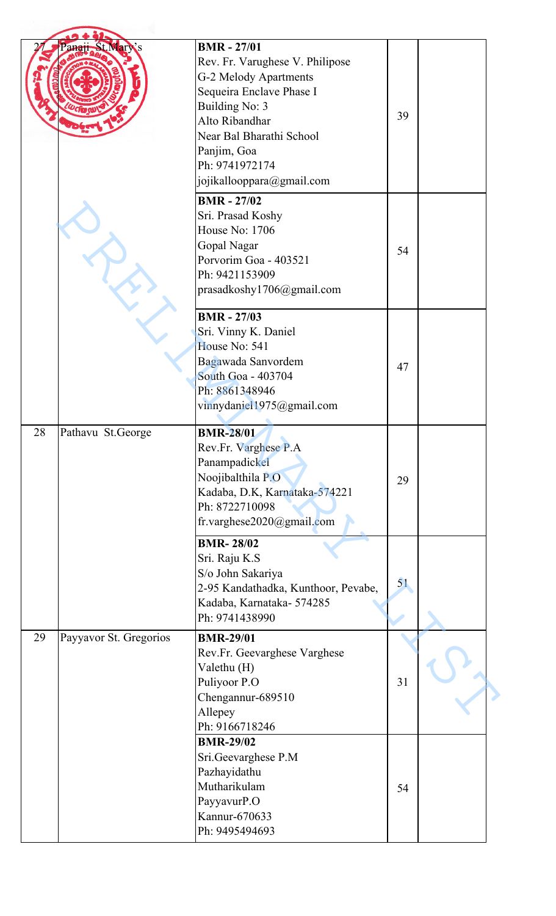|    | anan-                  | <b>BMR - 27/01</b><br>Rev. Fr. Varughese V. Philipose<br>G-2 Melody Apartments<br>Sequeira Enclave Phase I<br>Building No: 3<br>Alto Ribandhar<br>Near Bal Bharathi School<br>Panjim, Goa<br>Ph: 9741972174<br>jojikallooppara@gmail.com | 39 |  |
|----|------------------------|------------------------------------------------------------------------------------------------------------------------------------------------------------------------------------------------------------------------------------------|----|--|
|    |                        | <b>BMR</b> - 27/02<br>Sri. Prasad Koshy<br><b>House No: 1706</b><br>Gopal Nagar<br>Porvorim Goa - 403521<br>Ph: 9421153909<br>prasadkoshy1706@gmail.com                                                                                  | 54 |  |
|    |                        | <b>BMR - 27/03</b><br>Sri. Vinny K. Daniel<br>House No: 541<br>Bagawada Sanvordem<br>South Goa - 403704<br>Ph: 8861348946<br>vinnydaniel1975@gmail.com                                                                                   | 47 |  |
| 28 | Pathavu St.George      | <b>BMR-28/01</b><br>Rev.Fr. Varghese P.A<br>Panampadickel<br>Noojibalthila P.O<br>Kadaba, D.K, Karnataka-574221<br>Ph: 8722710098<br>fr.varghese2020@gmail.com                                                                           | 29 |  |
|    |                        | <b>BMR-28/02</b><br>Sri. Raju K.S<br>S/o John Sakariya<br>2-95 Kandathadka, Kunthoor, Pevabe,<br>Kadaba, Karnataka-574285<br>Ph: 9741438990                                                                                              | 51 |  |
| 29 | Payyavor St. Gregorios | <b>BMR-29/01</b><br>Rev.Fr. Geevarghese Varghese<br>Valethu (H)<br>Puliyoor P.O<br>Chengannur-689510<br>Allepey<br>Ph: 9166718246                                                                                                        | 31 |  |
|    |                        | <b>BMR-29/02</b><br>Sri.Geevarghese P.M<br>Pazhayidathu<br>Mutharikulam<br>PayyavurP.O<br>Kannur-670633<br>Ph: 9495494693                                                                                                                | 54 |  |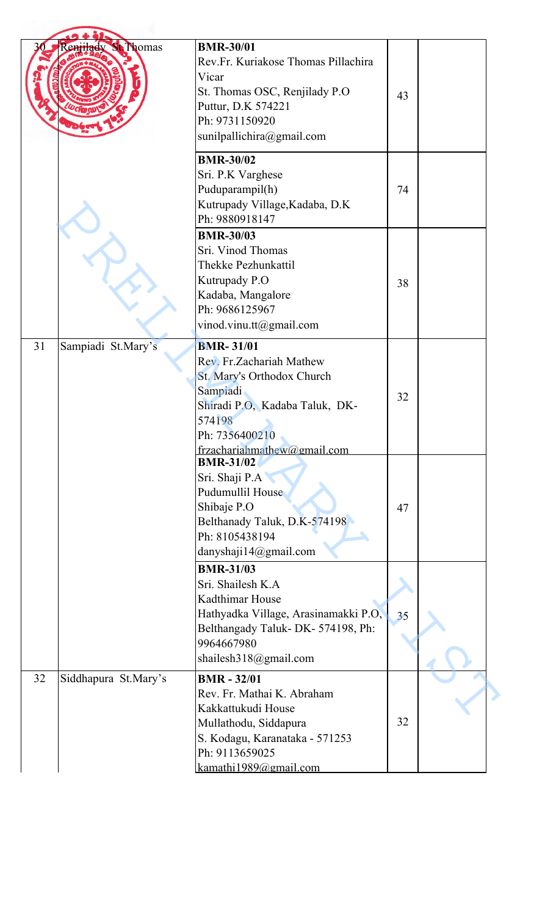|    | Renjilady<br><b>St Thomas</b> | <b>BMR-30/01</b><br>Rev.Fr. Kuriakose Thomas Pillachira<br>Vicar<br>St. Thomas OSC, Renjilady P.O.<br>Puttur, D.K 574221<br>Ph: 9731150920<br>sunilpallichira@gmail.com              | 43 |  |
|----|-------------------------------|--------------------------------------------------------------------------------------------------------------------------------------------------------------------------------------|----|--|
|    |                               | <b>BMR-30/02</b><br>Sri. P.K Varghese<br>Puduparampil(h)<br>Kutrupady Village, Kadaba, D.K<br>Ph: 9880918147                                                                         | 74 |  |
|    |                               | <b>BMR-30/03</b><br>Sri. Vinod Thomas<br>Thekke Pezhunkattil<br>Kutrupady P.O<br>Kadaba, Mangalore<br>Ph: 9686125967<br>vinod.vinu.tt@gmail.com                                      | 38 |  |
| 31 | Sampiadi St.Mary's            | <b>BMR-31/01</b><br>Rev. Fr. Zachariah Mathew<br>St. Mary's Orthodox Church<br>Sampiadi<br>Shiradi P.O, Kadaba Taluk, DK-<br>574198<br>Ph: 7356400210<br>frzachariahmathew@gmail.com | 32 |  |
|    |                               | <b>BMR-31/02</b><br>Sri. Shaji P.A<br>Pudumullil House<br>Shibaje P.O<br>Belthanady Taluk, D.K-574198<br>Ph: 8105438194<br>danyshaji14@gmail.com                                     | 47 |  |
|    |                               | <b>BMR-31/03</b><br>Sri. Shailesh K.A<br>Kadthimar House<br>Hathyadka Village, Arasinamakki P.O,<br>Belthangady Taluk- DK-574198, Ph:<br>9964667980<br>shailesh318@gmail.com         | 35 |  |
| 32 | Siddhapura St.Mary's          | <b>BMR-32/01</b><br>Rev. Fr. Mathai K. Abraham<br>Kakkattukudi House<br>Mullathodu, Siddapura<br>S. Kodagu, Karanataka - 571253<br>Ph: 9113659025<br>kamathi1989@gmail.com           | 32 |  |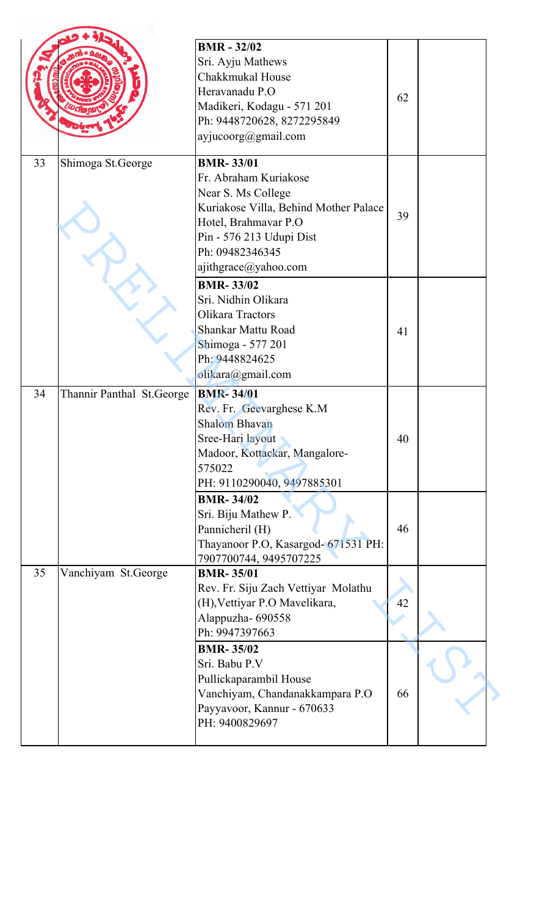| 33 | Shimoga St.George         | <b>BMR - 32/02</b><br>Sri. Ayju Mathews<br>Chakkmukal House<br>Heravanadu P.O<br>Madikeri, Kodagu - 571 201<br>Ph: 9448720628, 8272295849<br>ayjucoorg@gmail.com<br><b>BMR-33/01</b>                                              | 62       |  |
|----|---------------------------|-----------------------------------------------------------------------------------------------------------------------------------------------------------------------------------------------------------------------------------|----------|--|
|    |                           | Fr. Abraham Kuriakose<br>Near S. Ms College<br>Kuriakose Villa, Behind Mother Palace<br>Hotel, Brahmavar P.O<br>Pin - 576 213 Udupi Dist<br>Ph: 09482346345<br>ajithgrace@yahoo.com                                               | 39       |  |
|    |                           | <b>BMR-33/02</b><br>Sri. Nidhin Olikara<br>Olikara Tractors<br><b>Shankar Mattu Road</b><br>Shimoga - 577 201<br>Ph: 9448824625<br>olikara@gmail.com                                                                              | 41       |  |
| 34 | Thannir Panthal St.George | <b>BMR-34/01</b><br>Rev. Fr. Geevarghese K.M<br><b>Shalom Bhavan</b><br>Sree-Hari layout<br>Madoor, Kottackar, Mangalore-<br>575022<br>PH: 9110290040, 9497885301                                                                 | 40       |  |
|    |                           | <b>BMR-34/02</b><br>Sri. Biju Mathew P.<br>Pannicheril (H)<br>Thayanoor P.O, Kasargod- 671531 PH:<br>7907700744, 9495707225                                                                                                       | 46       |  |
| 35 | Vanchiyam St.George       | <b>BMR-35/01</b><br>Rev. Fr. Siju Zach Vettiyar Molathu<br>(H), Vettiyar P.O Mavelikara,<br>Alappuzha- 690558<br>Ph: 9947397663<br><b>BMR-35/02</b><br>Sri. Babu P.V<br>Pullickaparambil House<br>Vanchiyam, Chandanakkampara P.O | 42<br>66 |  |
|    |                           | Payyavoor, Kannur - 670633<br>PH: 9400829697                                                                                                                                                                                      |          |  |